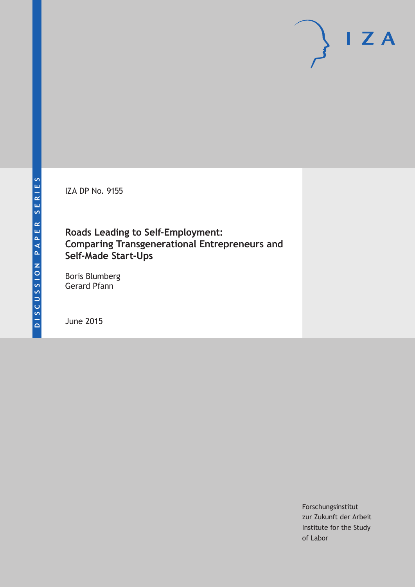IZA DP No. 9155

# **Roads Leading to Self-Employment: Comparing Transgenerational Entrepreneurs and Self-Made Start-Ups**

Boris Blumberg Gerard Pfann

June 2015

Forschungsinstitut zur Zukunft der Arbeit Institute for the Study of Labor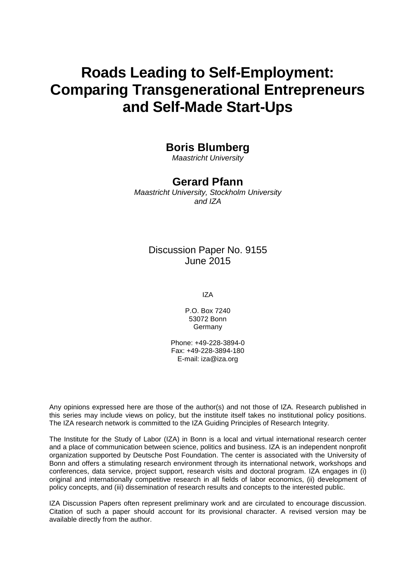# **Roads Leading to Self-Employment: Comparing Transgenerational Entrepreneurs and Self-Made Start-Ups**

# **Boris Blumberg**

*Maastricht University*

### **Gerard Pfann**

*Maastricht University, Stockholm University and IZA*

### Discussion Paper No. 9155 June 2015

IZA

P.O. Box 7240 53072 Bonn **Germany** 

Phone: +49-228-3894-0 Fax: +49-228-3894-180 E-mail: iza@iza.org

Any opinions expressed here are those of the author(s) and not those of IZA. Research published in this series may include views on policy, but the institute itself takes no institutional policy positions. The IZA research network is committed to the IZA Guiding Principles of Research Integrity.

The Institute for the Study of Labor (IZA) in Bonn is a local and virtual international research center and a place of communication between science, politics and business. IZA is an independent nonprofit organization supported by Deutsche Post Foundation. The center is associated with the University of Bonn and offers a stimulating research environment through its international network, workshops and conferences, data service, project support, research visits and doctoral program. IZA engages in (i) original and internationally competitive research in all fields of labor economics, (ii) development of policy concepts, and (iii) dissemination of research results and concepts to the interested public.

<span id="page-1-0"></span>IZA Discussion Papers often represent preliminary work and are circulated to encourage discussion. Citation of such a paper should account for its provisional character. A revised version may be available directly from the author.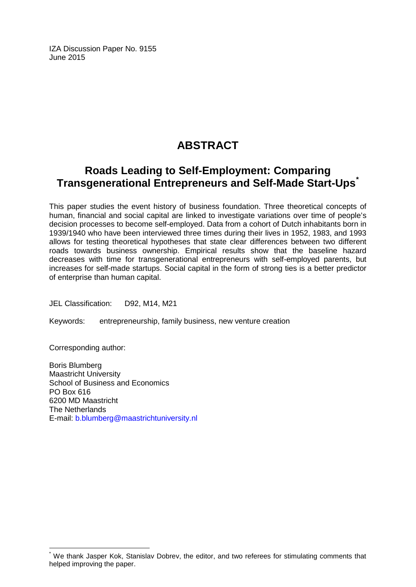IZA Discussion Paper No. 9155 June 2015

# **ABSTRACT**

# **Roads Leading to Self-Employment: Comparing Transgenerational Entrepreneurs and Self-Made Start-Ups[\\*](#page-1-0)**

This paper studies the event history of business foundation. Three theoretical concepts of human, financial and social capital are linked to investigate variations over time of people's decision processes to become self-employed. Data from a cohort of Dutch inhabitants born in 1939/1940 who have been interviewed three times during their lives in 1952, 1983, and 1993 allows for testing theoretical hypotheses that state clear differences between two different roads towards business ownership. Empirical results show that the baseline hazard decreases with time for transgenerational entrepreneurs with self-employed parents, but increases for self-made startups. Social capital in the form of strong ties is a better predictor of enterprise than human capital.

JEL Classification: D92, M14, M21

Keywords: entrepreneurship, family business, new venture creation

Corresponding author:

Boris Blumberg Maastricht University School of Business and Economics PO Box 616 6200 MD Maastricht The Netherlands E-mail: [b.blumberg@maastrichtuniversity.nl](mailto:b.blumberg@maastrichtuniversity.nl)

We thank Jasper Kok, Stanislav Dobrev, the editor, and two referees for stimulating comments that helped improving the paper.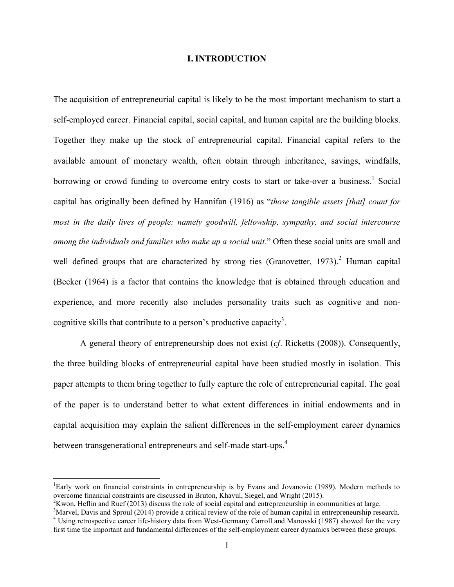#### **I. INTRODUCTION**

The acquisition of entrepreneurial capital is likely to be the most important mechanism to start a self-employed career. Financial capital, social capital, and human capital are the building blocks. Together they make up the stock of entrepreneurial capital. Financial capital refers to the available amount of monetary wealth, often obtain through inheritance, savings, windfalls, borrowing or crowd funding to overcome entry costs to start or take-over a business.<sup>1</sup> Social capital has originally been defined by Hannifan (1916) as "*those tangible assets [that] count for most in the daily lives of people: namely goodwill, fellowship, sympathy, and social intercourse among the individuals and families who make up a social unit*." Often these social units are small and well defined groups that are characterized by strong ties (Granovetter, 1973).<sup>2</sup> Human capital (Becker (1964) is a factor that contains the knowledge that is obtained through education and experience, and more recently also includes personality traits such as cognitive and noncognitive skills that contribute to a person's productive capacity<sup>3</sup>.

A general theory of entrepreneurship does not exist (*cf*. Ricketts (2008)). Consequently, the three building blocks of entrepreneurial capital have been studied mostly in isolation. This paper attempts to them bring together to fully capture the role of entrepreneurial capital. The goal of the paper is to understand better to what extent differences in initial endowments and in capital acquisition may explain the salient differences in the self-employment career dynamics between transgenerational entrepreneurs and self-made start-ups.<sup>4</sup>

 $\frac{1}{1}$ Early work on financial constraints in entrepreneurship is by Evans and Jovanovic (1989). Modern methods to overcome financial constraints are discussed in Bruton, Khavul, Siegel, and Wright (2015). <sup>2</sup>

<sup>&</sup>lt;sup>2</sup>Kwon, Heflin and Ruef (2013) discuss the role of social capital and entrepreneurship in communities at large.<br><sup>3</sup>Marvel, Davis and Sproul (2014) provide a critical review of the role of human capital in entrepreneurshi

<sup>&</sup>lt;sup>4</sup> Using retrospective career life-history data from West-Germany Carroll and Manovski (1987) showed for the very first time the important and fundamental differences of the self-employment career dynamics between these groups.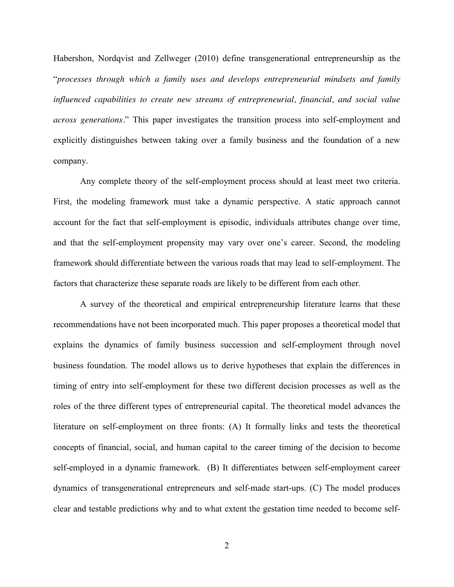Habershon, Nordqvist and Zellweger (2010) define transgenerational entrepreneurship as the "*processes through which a family uses and develops entrepreneurial mindsets and family influenced capabilities to create new streams of entrepreneurial, financial, and social value across generations.*" This paper investigates the transition process into self-employment and explicitly distinguishes between taking over a family business and the foundation of a new company.

Any complete theory of the self-employment process should at least meet two criteria. First, the modeling framework must take a dynamic perspective. A static approach cannot account for the fact that self-employment is episodic, individuals attributes change over time, and that the self-employment propensity may vary over one's career. Second, the modeling framework should differentiate between the various roads that may lead to self-employment. The factors that characterize these separate roads are likely to be different from each other.

A survey of the theoretical and empirical entrepreneurship literature learns that these recommendations have not been incorporated much. This paper proposes a theoretical model that explains the dynamics of family business succession and self-employment through novel business foundation. The model allows us to derive hypotheses that explain the differences in timing of entry into self-employment for these two different decision processes as well as the roles of the three different types of entrepreneurial capital. The theoretical model advances the literature on self-employment on three fronts: (A) It formally links and tests the theoretical concepts of financial, social, and human capital to the career timing of the decision to become self-employed in a dynamic framework. (B) It differentiates between self-employment career dynamics of transgenerational entrepreneurs and self-made start-ups. (C) The model produces clear and testable predictions why and to what extent the gestation time needed to become self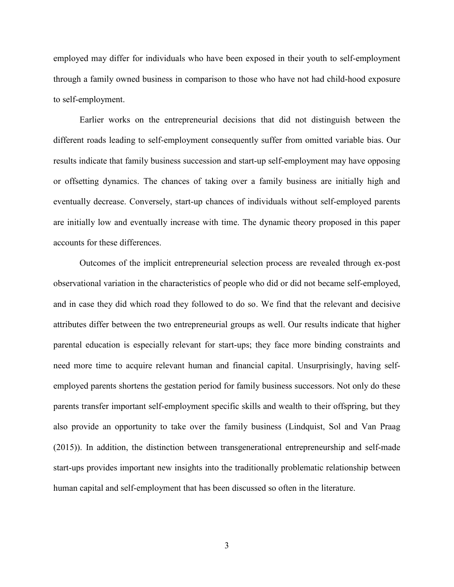employed may differ for individuals who have been exposed in their youth to self-employment through a family owned business in comparison to those who have not had child-hood exposure to self-employment.

Earlier works on the entrepreneurial decisions that did not distinguish between the different roads leading to self-employment consequently suffer from omitted variable bias. Our results indicate that family business succession and start-up self-employment may have opposing or offsetting dynamics. The chances of taking over a family business are initially high and eventually decrease. Conversely, start-up chances of individuals without self-employed parents are initially low and eventually increase with time. The dynamic theory proposed in this paper accounts for these differences.

Outcomes of the implicit entrepreneurial selection process are revealed through ex-post observational variation in the characteristics of people who did or did not became self-employed, and in case they did which road they followed to do so. We find that the relevant and decisive attributes differ between the two entrepreneurial groups as well. Our results indicate that higher parental education is especially relevant for start-ups; they face more binding constraints and need more time to acquire relevant human and financial capital. Unsurprisingly, having selfemployed parents shortens the gestation period for family business successors. Not only do these parents transfer important self-employment specific skills and wealth to their offspring, but they also provide an opportunity to take over the family business (Lindquist, Sol and Van Praag (2015)). In addition, the distinction between transgenerational entrepreneurship and self-made start-ups provides important new insights into the traditionally problematic relationship between human capital and self-employment that has been discussed so often in the literature.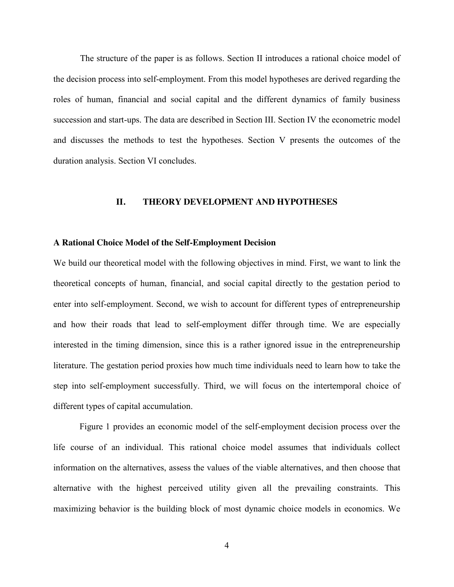The structure of the paper is as follows. Section II introduces a rational choice model of the decision process into self-employment. From this model hypotheses are derived regarding the roles of human, financial and social capital and the different dynamics of family business succession and start-ups. The data are described in Section III. Section IV the econometric model and discusses the methods to test the hypotheses. Section V presents the outcomes of the duration analysis. Section VI concludes.

#### **II. THEORY DEVELOPMENT AND HYPOTHESES**

#### **A Rational Choice Model of the Self-Employment Decision**

We build our theoretical model with the following objectives in mind. First, we want to link the theoretical concepts of human, financial, and social capital directly to the gestation period to enter into self-employment. Second, we wish to account for different types of entrepreneurship and how their roads that lead to self-employment differ through time. We are especially interested in the timing dimension, since this is a rather ignored issue in the entrepreneurship literature. The gestation period proxies how much time individuals need to learn how to take the step into self-employment successfully. Third, we will focus on the intertemporal choice of different types of capital accumulation.

Figure 1 provides an economic model of the self-employment decision process over the life course of an individual. This rational choice model assumes that individuals collect information on the alternatives, assess the values of the viable alternatives, and then choose that alternative with the highest perceived utility given all the prevailing constraints. This maximizing behavior is the building block of most dynamic choice models in economics. We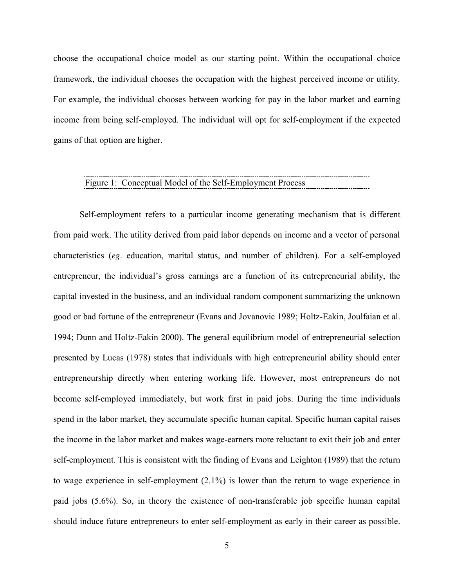choose the occupational choice model as our starting point. Within the occupational choice framework, the individual chooses the occupation with the highest perceived income or utility. For example, the individual chooses between working for pay in the labor market and earning income from being self-employed. The individual will opt for self-employment if the expected gains of that option are higher.

# Figure 1: Conceptual Model of the Self-Employment Process

Self-employment refers to a particular income generating mechanism that is different from paid work. The utility derived from paid labor depends on income and a vector of personal characteristics (*eg*. education, marital status, and number of children). For a self-employed entrepreneur, the individual's gross earnings are a function of its entrepreneurial ability, the capital invested in the business, and an individual random component summarizing the unknown good or bad fortune of the entrepreneur (Evans and Jovanovic 1989; Holtz-Eakin, Joulfaian et al. 1994; Dunn and Holtz-Eakin 2000). The general equilibrium model of entrepreneurial selection presented by Lucas (1978) states that individuals with high entrepreneurial ability should enter entrepreneurship directly when entering working life. However, most entrepreneurs do not become self-employed immediately, but work first in paid jobs. During the time individuals spend in the labor market, they accumulate specific human capital. Specific human capital raises the income in the labor market and makes wage-earners more reluctant to exit their job and enter self-employment. This is consistent with the finding of Evans and Leighton (1989) that the return to wage experience in self-employment (2.1%) is lower than the return to wage experience in paid jobs (5.6%). So, in theory the existence of non-transferable job specific human capital should induce future entrepreneurs to enter self-employment as early in their career as possible.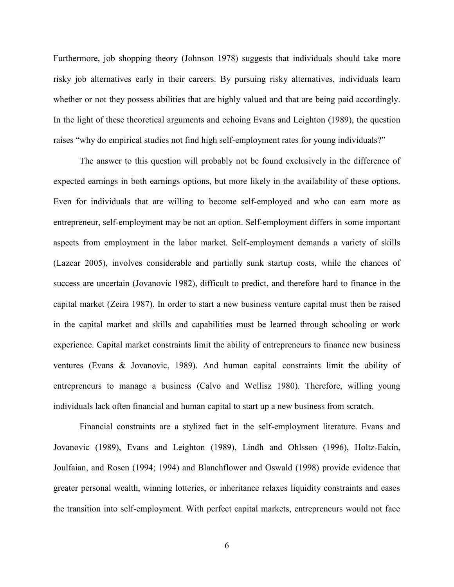Furthermore, job shopping theory (Johnson 1978) suggests that individuals should take more risky job alternatives early in their careers. By pursuing risky alternatives, individuals learn whether or not they possess abilities that are highly valued and that are being paid accordingly. In the light of these theoretical arguments and echoing Evans and Leighton (1989), the question raises "why do empirical studies not find high self-employment rates for young individuals?"

The answer to this question will probably not be found exclusively in the difference of expected earnings in both earnings options, but more likely in the availability of these options. Even for individuals that are willing to become self-employed and who can earn more as entrepreneur, self-employment may be not an option. Self-employment differs in some important aspects from employment in the labor market. Self-employment demands a variety of skills (Lazear 2005), involves considerable and partially sunk startup costs, while the chances of success are uncertain (Jovanovic 1982), difficult to predict, and therefore hard to finance in the capital market (Zeira 1987). In order to start a new business venture capital must then be raised in the capital market and skills and capabilities must be learned through schooling or work experience. Capital market constraints limit the ability of entrepreneurs to finance new business ventures (Evans & Jovanovic, 1989). And human capital constraints limit the ability of entrepreneurs to manage a business (Calvo and Wellisz 1980). Therefore, willing young individuals lack often financial and human capital to start up a new business from scratch.

Financial constraints are a stylized fact in the self-employment literature. Evans and Jovanovic (1989), Evans and Leighton (1989), Lindh and Ohlsson (1996), Holtz-Eakin, Joulfaian, and Rosen (1994; 1994) and Blanchflower and Oswald (1998) provide evidence that greater personal wealth, winning lotteries, or inheritance relaxes liquidity constraints and eases the transition into self-employment. With perfect capital markets, entrepreneurs would not face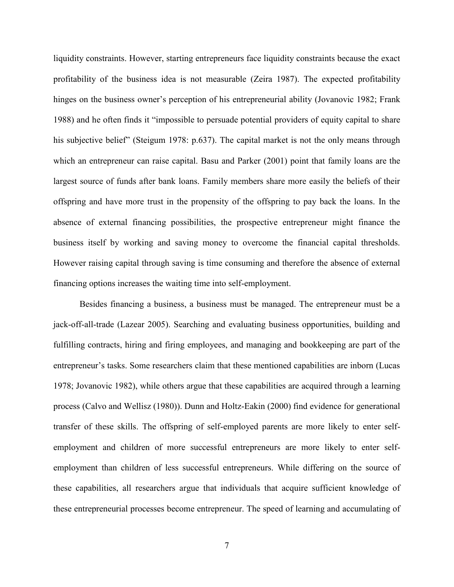liquidity constraints. However, starting entrepreneurs face liquidity constraints because the exact profitability of the business idea is not measurable (Zeira 1987). The expected profitability hinges on the business owner's perception of his entrepreneurial ability (Jovanovic 1982; Frank 1988) and he often finds it "impossible to persuade potential providers of equity capital to share his subjective belief" (Steigum 1978: p.637). The capital market is not the only means through which an entrepreneur can raise capital. Basu and Parker (2001) point that family loans are the largest source of funds after bank loans. Family members share more easily the beliefs of their offspring and have more trust in the propensity of the offspring to pay back the loans. In the absence of external financing possibilities, the prospective entrepreneur might finance the business itself by working and saving money to overcome the financial capital thresholds. However raising capital through saving is time consuming and therefore the absence of external financing options increases the waiting time into self-employment.

Besides financing a business, a business must be managed. The entrepreneur must be a jack-off-all-trade (Lazear 2005). Searching and evaluating business opportunities, building and fulfilling contracts, hiring and firing employees, and managing and bookkeeping are part of the entrepreneur's tasks. Some researchers claim that these mentioned capabilities are inborn (Lucas 1978; Jovanovic 1982), while others argue that these capabilities are acquired through a learning process (Calvo and Wellisz (1980)). Dunn and Holtz-Eakin (2000) find evidence for generational transfer of these skills. The offspring of self-employed parents are more likely to enter selfemployment and children of more successful entrepreneurs are more likely to enter selfemployment than children of less successful entrepreneurs. While differing on the source of these capabilities, all researchers argue that individuals that acquire sufficient knowledge of these entrepreneurial processes become entrepreneur. The speed of learning and accumulating of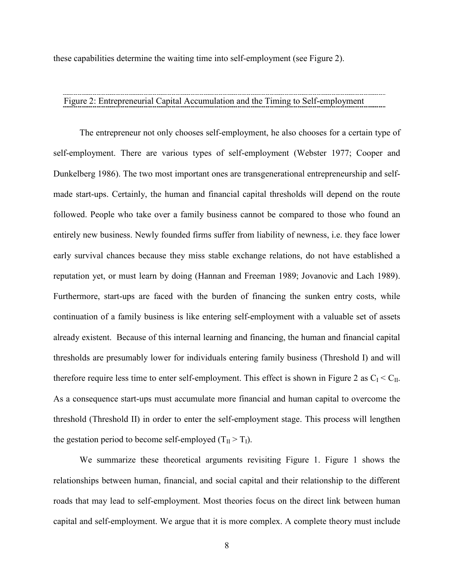these capabilities determine the waiting time into self-employment (see Figure 2).

#### Figure 2: Entrepreneurial Capital Accumulation and the Timing to Self-employment

The entrepreneur not only chooses self-employment, he also chooses for a certain type of self-employment. There are various types of self-employment (Webster 1977; Cooper and Dunkelberg 1986). The two most important ones are transgenerational entrepreneurship and selfmade start-ups. Certainly, the human and financial capital thresholds will depend on the route followed. People who take over a family business cannot be compared to those who found an entirely new business. Newly founded firms suffer from liability of newness, i.e. they face lower early survival chances because they miss stable exchange relations, do not have established a reputation yet, or must learn by doing (Hannan and Freeman 1989; Jovanovic and Lach 1989). Furthermore, start-ups are faced with the burden of financing the sunken entry costs, while continuation of a family business is like entering self-employment with a valuable set of assets already existent. Because of this internal learning and financing, the human and financial capital thresholds are presumably lower for individuals entering family business (Threshold I) and will therefore require less time to enter self-employment. This effect is shown in Figure 2 as  $C_I < C_{II}$ . As a consequence start-ups must accumulate more financial and human capital to overcome the threshold (Threshold II) in order to enter the self-employment stage. This process will lengthen the gestation period to become self-employed  $(T_{II} > T_I)$ .

We summarize these theoretical arguments revisiting Figure 1. Figure 1 shows the relationships between human, financial, and social capital and their relationship to the different roads that may lead to self-employment. Most theories focus on the direct link between human capital and self-employment. We argue that it is more complex. A complete theory must include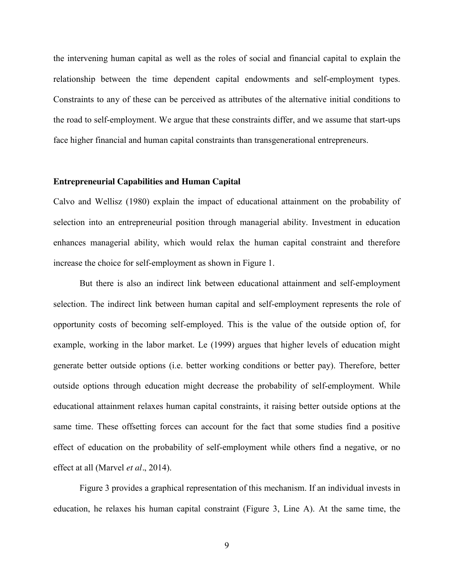the intervening human capital as well as the roles of social and financial capital to explain the relationship between the time dependent capital endowments and self-employment types. Constraints to any of these can be perceived as attributes of the alternative initial conditions to the road to self-employment. We argue that these constraints differ, and we assume that start-ups face higher financial and human capital constraints than transgenerational entrepreneurs.

#### **Entrepreneurial Capabilities and Human Capital**

Calvo and Wellisz (1980) explain the impact of educational attainment on the probability of selection into an entrepreneurial position through managerial ability. Investment in education enhances managerial ability, which would relax the human capital constraint and therefore increase the choice for self-employment as shown in Figure 1.

But there is also an indirect link between educational attainment and self-employment selection. The indirect link between human capital and self-employment represents the role of opportunity costs of becoming self-employed. This is the value of the outside option of, for example, working in the labor market. Le (1999) argues that higher levels of education might generate better outside options (i.e. better working conditions or better pay). Therefore, better outside options through education might decrease the probability of self-employment. While educational attainment relaxes human capital constraints, it raising better outside options at the same time. These offsetting forces can account for the fact that some studies find a positive effect of education on the probability of self-employment while others find a negative, or no effect at all (Marvel *et al.*, 2014).

Figure 3 provides a graphical representation of this mechanism. If an individual invests in education, he relaxes his human capital constraint (Figure 3, Line A). At the same time, the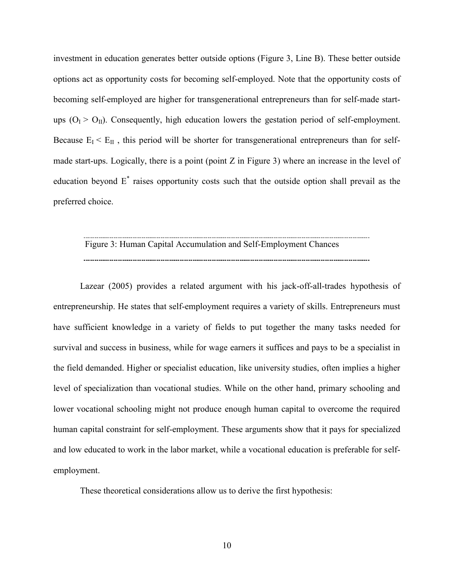investment in education generates better outside options (Figure 3, Line B). These better outside options act as opportunity costs for becoming self-employed. Note that the opportunity costs of becoming self-employed are higher for transgenerational entrepreneurs than for self-made startups  $(O_I > O_{II})$ . Consequently, high education lowers the gestation period of self-employment. Because  $E_I < E_{II}$ , this period will be shorter for transgenerational entrepreneurs than for selfmade start-ups. Logically, there is a point (point Z in Figure 3) where an increase in the level of education beyond  $E^*$  raises opportunity costs such that the outside option shall prevail as the preferred choice.

# Figure 3: Human Capital Accumulation and Self-Employment Chances

Lazear (2005) provides a related argument with his jack-off-all-trades hypothesis of entrepreneurship. He states that self-employment requires a variety of skills. Entrepreneurs must have sufficient knowledge in a variety of fields to put together the many tasks needed for survival and success in business, while for wage earners it suffices and pays to be a specialist in the field demanded. Higher or specialist education, like university studies, often implies a higher level of specialization than vocational studies. While on the other hand, primary schooling and lower vocational schooling might not produce enough human capital to overcome the required human capital constraint for self-employment. These arguments show that it pays for specialized and low educated to work in the labor market, while a vocational education is preferable for selfemployment.

These theoretical considerations allow us to derive the first hypothesis: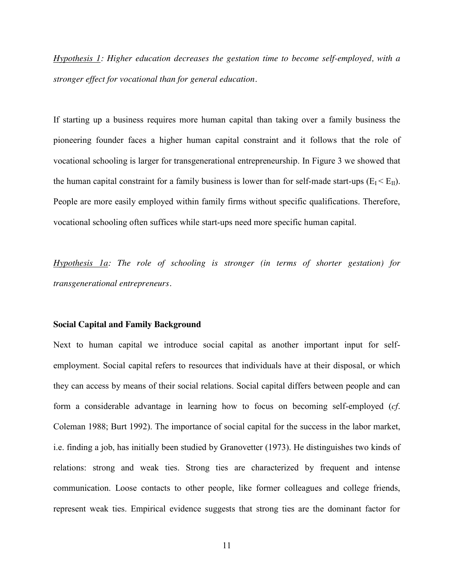*Hypothesis 1: Higher education decreases the gestation time to become self-employed, with a stronger effect for vocational than for general education.*

If starting up a business requires more human capital than taking over a family business the pioneering founder faces a higher human capital constraint and it follows that the role of vocational schooling is larger for transgenerational entrepreneurship. In Figure 3 we showed that the human capital constraint for a family business is lower than for self-made start-ups  $(E_I \le E_{II})$ . People are more easily employed within family firms without specific qualifications. Therefore, vocational schooling often suffices while start-ups need more specific human capital.

*Hypothesis 1a: The role of schooling is stronger (in terms of shorter gestation) for transgenerational entrepreneurs.* 

#### **Social Capital and Family Background**

Next to human capital we introduce social capital as another important input for selfemployment. Social capital refers to resources that individuals have at their disposal, or which they can access by means of their social relations. Social capital differs between people and can form a considerable advantage in learning how to focus on becoming self-employed (*cf*. Coleman 1988; Burt 1992). The importance of social capital for the success in the labor market, i.e. finding a job, has initially been studied by Granovetter (1973). He distinguishes two kinds of relations: strong and weak ties. Strong ties are characterized by frequent and intense communication. Loose contacts to other people, like former colleagues and college friends, represent weak ties. Empirical evidence suggests that strong ties are the dominant factor for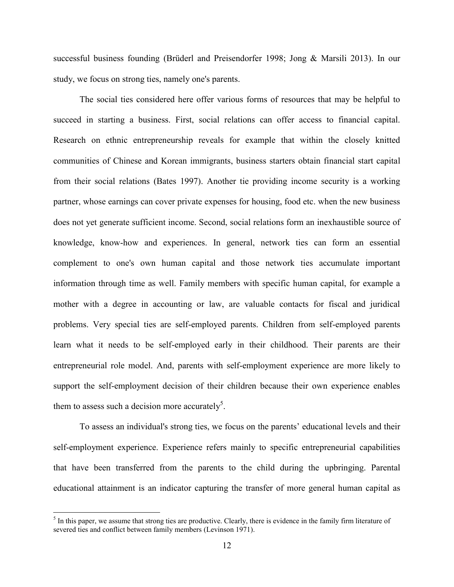successful business founding (Brüderl and Preisendorfer 1998; Jong & Marsili 2013). In our study, we focus on strong ties, namely one's parents.

The social ties considered here offer various forms of resources that may be helpful to succeed in starting a business. First, social relations can offer access to financial capital. Research on ethnic entrepreneurship reveals for example that within the closely knitted communities of Chinese and Korean immigrants, business starters obtain financial start capital from their social relations (Bates 1997). Another tie providing income security is a working partner, whose earnings can cover private expenses for housing, food etc. when the new business does not yet generate sufficient income. Second, social relations form an inexhaustible source of knowledge, know-how and experiences. In general, network ties can form an essential complement to one's own human capital and those network ties accumulate important information through time as well. Family members with specific human capital, for example a mother with a degree in accounting or law, are valuable contacts for fiscal and juridical problems. Very special ties are self-employed parents. Children from self-employed parents learn what it needs to be self-employed early in their childhood. Their parents are their entrepreneurial role model. And, parents with self-employment experience are more likely to support the self-employment decision of their children because their own experience enables them to assess such a decision more accurately<sup>5</sup>.

To assess an individual's strong ties, we focus on the parents' educational levels and their self-employment experience. Experience refers mainly to specific entrepreneurial capabilities that have been transferred from the parents to the child during the upbringing. Parental educational attainment is an indicator capturing the transfer of more general human capital as

 $<sup>5</sup>$  In this paper, we assume that strong ties are productive. Clearly, there is evidence in the family firm literature of</sup> severed ties and conflict between family members (Levinson 1971).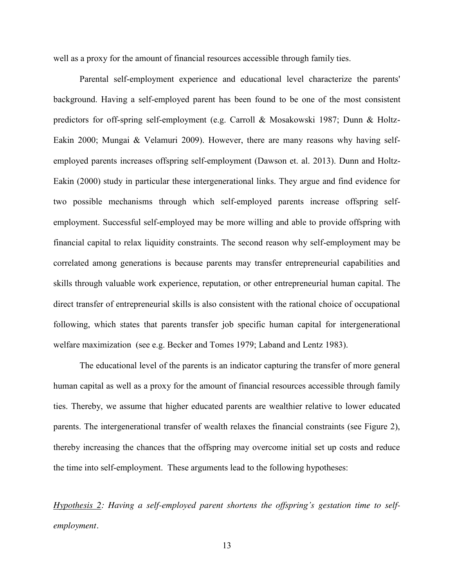well as a proxy for the amount of financial resources accessible through family ties.

Parental self-employment experience and educational level characterize the parents' background. Having a self-employed parent has been found to be one of the most consistent predictors for off-spring self-employment (e.g. Carroll & Mosakowski 1987; Dunn & Holtz-Eakin 2000; Mungai & Velamuri 2009). However, there are many reasons why having selfemployed parents increases offspring self-employment (Dawson et. al. 2013). Dunn and Holtz-Eakin (2000) study in particular these intergenerational links. They argue and find evidence for two possible mechanisms through which self-employed parents increase offspring selfemployment. Successful self-employed may be more willing and able to provide offspring with financial capital to relax liquidity constraints. The second reason why self-employment may be correlated among generations is because parents may transfer entrepreneurial capabilities and skills through valuable work experience, reputation, or other entrepreneurial human capital. The direct transfer of entrepreneurial skills is also consistent with the rational choice of occupational following, which states that parents transfer job specific human capital for intergenerational welfare maximization (see e.g. Becker and Tomes 1979; Laband and Lentz 1983).

The educational level of the parents is an indicator capturing the transfer of more general human capital as well as a proxy for the amount of financial resources accessible through family ties. Thereby, we assume that higher educated parents are wealthier relative to lower educated parents. The intergenerational transfer of wealth relaxes the financial constraints (see Figure 2), thereby increasing the chances that the offspring may overcome initial set up costs and reduce the time into self-employment. These arguments lead to the following hypotheses:

*Hypothesis 2: Having a self-employed parent shortens the offspring's gestation time to selfemployment.*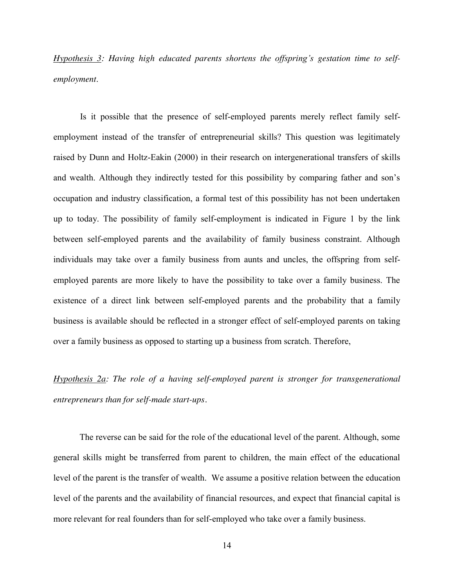*Hypothesis 3: Having high educated parents shortens the offspring's gestation time to selfemployment*.

Is it possible that the presence of self-employed parents merely reflect family selfemployment instead of the transfer of entrepreneurial skills? This question was legitimately raised by Dunn and Holtz-Eakin (2000) in their research on intergenerational transfers of skills and wealth. Although they indirectly tested for this possibility by comparing father and son's occupation and industry classification, a formal test of this possibility has not been undertaken up to today. The possibility of family self-employment is indicated in Figure 1 by the link between self-employed parents and the availability of family business constraint. Although individuals may take over a family business from aunts and uncles, the offspring from selfemployed parents are more likely to have the possibility to take over a family business. The existence of a direct link between self-employed parents and the probability that a family business is available should be reflected in a stronger effect of self-employed parents on taking over a family business as opposed to starting up a business from scratch. Therefore,

*Hypothesis 2a: The role of a having self-employed parent is stronger for transgenerational entrepreneurs than for self-made start-ups.* 

The reverse can be said for the role of the educational level of the parent. Although, some general skills might be transferred from parent to children, the main effect of the educational level of the parent is the transfer of wealth. We assume a positive relation between the education level of the parents and the availability of financial resources, and expect that financial capital is more relevant for real founders than for self-employed who take over a family business.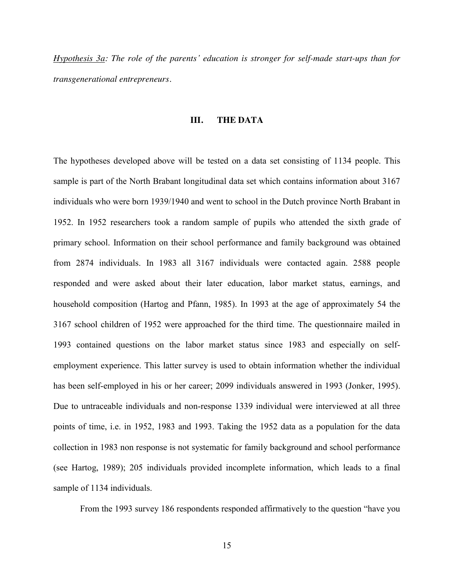*Hypothesis 3a: The role of the parents' education is stronger for self-made start-ups than for transgenerational entrepreneurs.*

#### **III. THE DATA**

The hypotheses developed above will be tested on a data set consisting of 1134 people. This sample is part of the North Brabant longitudinal data set which contains information about 3167 individuals who were born 1939/1940 and went to school in the Dutch province North Brabant in 1952. In 1952 researchers took a random sample of pupils who attended the sixth grade of primary school. Information on their school performance and family background was obtained from 2874 individuals. In 1983 all 3167 individuals were contacted again. 2588 people responded and were asked about their later education, labor market status, earnings, and household composition (Hartog and Pfann, 1985). In 1993 at the age of approximately 54 the 3167 school children of 1952 were approached for the third time. The questionnaire mailed in 1993 contained questions on the labor market status since 1983 and especially on selfemployment experience. This latter survey is used to obtain information whether the individual has been self-employed in his or her career; 2099 individuals answered in 1993 (Jonker, 1995). Due to untraceable individuals and non-response 1339 individual were interviewed at all three points of time, i.e. in 1952, 1983 and 1993. Taking the 1952 data as a population for the data collection in 1983 non response is not systematic for family background and school performance (see Hartog, 1989); 205 individuals provided incomplete information, which leads to a final sample of 1134 individuals.

From the 1993 survey 186 respondents responded affirmatively to the question "have you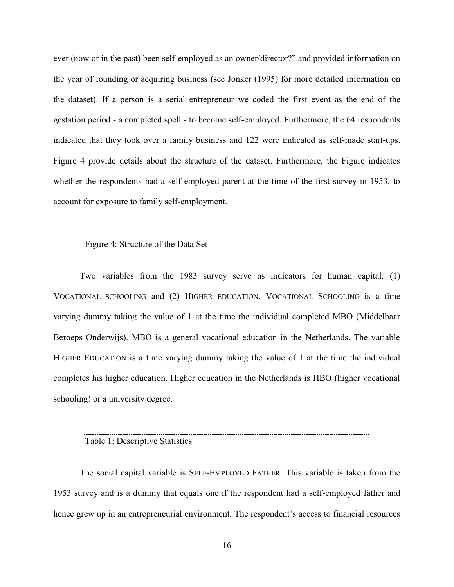ever (now or in the past) been self-employed as an owner/director?" and provided information on the year of founding or acquiring business (see Jonker (1995) for more detailed information on the dataset). If a person is a serial entrepreneur we coded the first event as the end of the gestation period - a completed spell - to become self-employed. Furthermore, the 64 respondents indicated that they took over a family business and 122 were indicated as self-made start-ups. Figure 4 provide details about the structure of the dataset. Furthermore, the Figure indicates whether the respondents had a self-employed parent at the time of the first survey in 1953, to account for exposure to family self-employment.

# Figure 4: Structure of the Data Set

Two variables from the 1983 survey serve as indicators for human capital: (1) VOCATIONAL SCHOOLING and (2) HIGHER EDUCATION. VOCATIONAL SCHOOLING is a time varying dummy taking the value of 1 at the time the individual completed MBO (Middelbaar Beroeps Onderwijs). MBO is a general vocational education in the Netherlands. The variable HIGHER EDUCATION is a time varying dummy taking the value of 1 at the time the individual completes his higher education. Higher education in the Netherlands is HBO (higher vocational schooling) or a university degree.

Table 1: Descriptive Statistics 

The social capital variable is SELF-EMPLOYED FATHER. This variable is taken from the 1953 survey and is a dummy that equals one if the respondent had a self-employed father and hence grew up in an entrepreneurial environment. The respondent's access to financial resources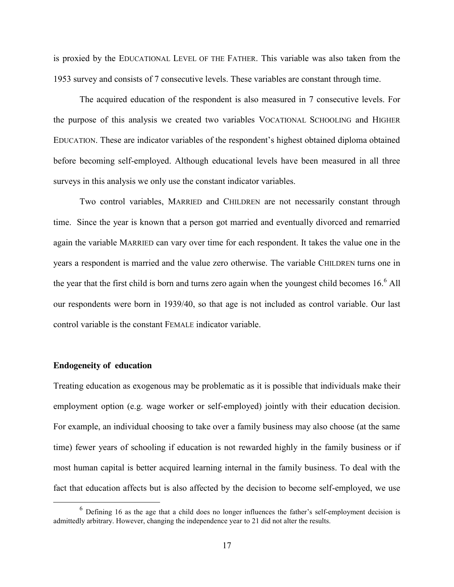is proxied by the EDUCATIONAL LEVEL OF THE FATHER. This variable was also taken from the 1953 survey and consists of 7 consecutive levels. These variables are constant through time.

The acquired education of the respondent is also measured in 7 consecutive levels. For the purpose of this analysis we created two variables VOCATIONAL SCHOOLING and HIGHER EDUCATION. These are indicator variables of the respondent's highest obtained diploma obtained before becoming self-employed. Although educational levels have been measured in all three surveys in this analysis we only use the constant indicator variables.

Two control variables, MARRIED and CHILDREN are not necessarily constant through time. Since the year is known that a person got married and eventually divorced and remarried again the variable MARRIED can vary over time for each respondent. It takes the value one in the years a respondent is married and the value zero otherwise. The variable CHILDREN turns one in the year that the first child is born and turns zero again when the youngest child becomes  $16<sup>6</sup>$  All our respondents were born in 1939/40, so that age is not included as control variable. Our last control variable is the constant FEMALE indicator variable.

#### **Endogeneity of education**

Treating education as exogenous may be problematic as it is possible that individuals make their employment option (e.g. wage worker or self-employed) jointly with their education decision. For example, an individual choosing to take over a family business may also choose (at the same time) fewer years of schooling if education is not rewarded highly in the family business or if most human capital is better acquired learning internal in the family business. To deal with the fact that education affects but is also affected by the decision to become self-employed, we use

<sup>&</sup>lt;sup>6</sup> Defining 16 as the age that a child does no longer influences the father's self-employment decision is admittedly arbitrary. However, changing the independence year to 21 did not alter the results.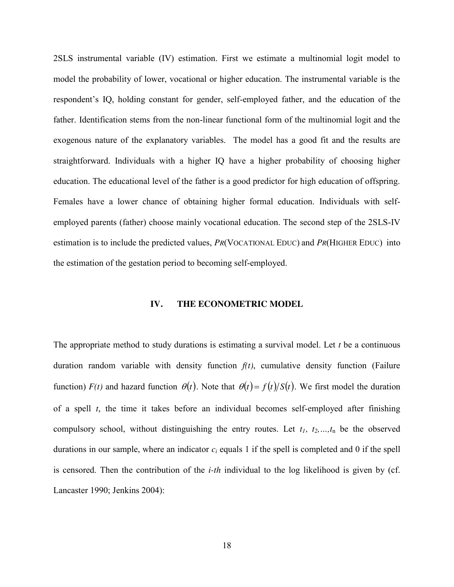2SLS instrumental variable (IV) estimation. First we estimate a multinomial logit model to model the probability of lower, vocational or higher education. The instrumental variable is the respondent's IQ, holding constant for gender, self-employed father, and the education of the father. Identification stems from the non-linear functional form of the multinomial logit and the exogenous nature of the explanatory variables. The model has a good fit and the results are straightforward. Individuals with a higher IQ have a higher probability of choosing higher education. The educational level of the father is a good predictor for high education of offspring. Females have a lower chance of obtaining higher formal education. Individuals with selfemployed parents (father) choose mainly vocational education. The second step of the 2SLS-IV estimation is to include the predicted values, *PR*(VOCATIONAL EDUC) and *PR*(HIGHER EDUC) into the estimation of the gestation period to becoming self-employed.

#### **IV. THE ECONOMETRIC MODEL**

The appropriate method to study durations is estimating a survival model. Let *t* be a continuous duration random variable with density function *f(t)*, cumulative density function (Failure function)  $F(t)$  and hazard function  $\theta(t)$ . Note that  $\theta(t) = f(t)/S(t)$ . We first model the duration of a spell *t*, the time it takes before an individual becomes self-employed after finishing compulsory school, without distinguishing the entry routes. Let *t1, t2,…,t*<sup>n</sup> be the observed durations in our sample, where an indicator *ci* equals 1 if the spell is completed and 0 if the spell is censored. Then the contribution of the *i-th* individual to the log likelihood is given by (cf. Lancaster 1990; Jenkins 2004):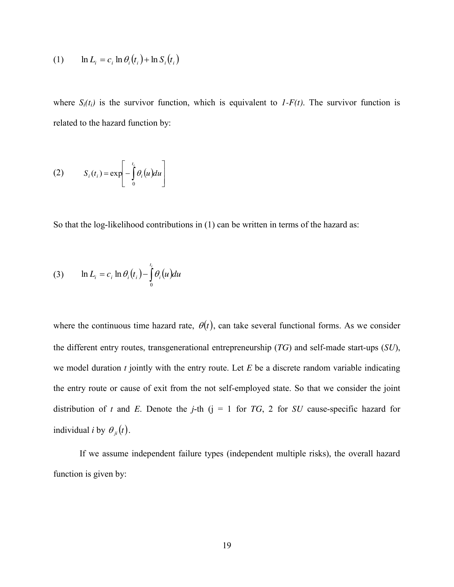(1) 
$$
\ln L_i = c_i \ln \theta_i(t_i) + \ln S_i(t_i)
$$

where  $S_i(t_i)$  is the survivor function, which is equivalent to  $I-F(t)$ . The survivor function is related to the hazard function by:

(2) 
$$
S_i(t_i) = \exp\left[-\int_0^{t_i} \theta_i(u) du\right]
$$

So that the log-likelihood contributions in (1) can be written in terms of the hazard as:

(3) 
$$
\ln L_i = c_i \ln \theta_i(t_i) - \int_0^{t_i} \theta_i(u) du
$$

where the continuous time hazard rate,  $\theta(t)$ , can take several functional forms. As we consider the different entry routes, transgenerational entrepreneurship (*TG*) and self-made start-ups (*SU*), we model duration *t* jointly with the entry route. Let *E* be a discrete random variable indicating the entry route or cause of exit from the not self-employed state. So that we consider the joint distribution of *t* and *E*. Denote the *j*-th ( $j = 1$  for *TG*, 2 for *SU* cause-specific hazard for individual *i* by  $\theta_{ii}(t)$ .

If we assume independent failure types (independent multiple risks), the overall hazard function is given by: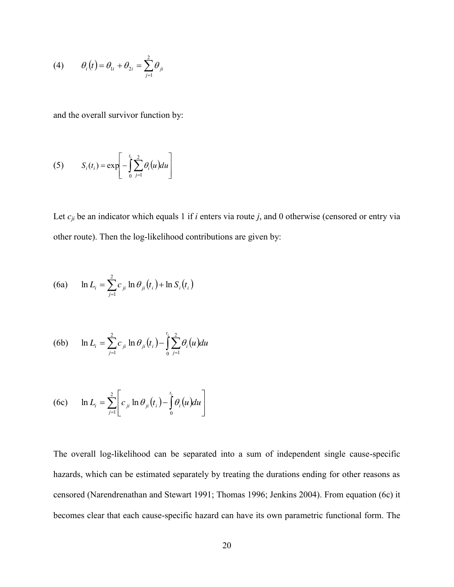$$
(4) \qquad \theta_i(t) = \theta_{1i} + \theta_{2i} = \sum_{j=1}^2 \theta_{ji}
$$

and the overall survivor function by:

(5) 
$$
S_i(t_i) = \exp\left[-\int_0^{t_i} \sum_{j=1}^2 \theta_i(u) du\right]
$$

Let  $c_{ji}$  be an indicator which equals 1 if *i* enters via route *j*, and 0 otherwise (censored or entry via other route). Then the log-likelihood contributions are given by:

(6a) 
$$
\ln L_i = \sum_{j=1}^{2} c_{ji} \ln \theta_{ji}(t_i) + \ln S_i(t_i)
$$

(6b) 
$$
\ln L_{i} = \sum_{j=1}^{2} c_{ji} \ln \theta_{ji}(t_{i}) - \int_{0}^{t_{i}} \sum_{j=1}^{2} \theta_{i}(u) du
$$

(6c) 
$$
\ln L_i = \sum_{j=1}^2 \left[ c_{ji} \ln \theta_{ji}(t_i) - \int_0^{t_i} \theta_i(u) du \right]
$$

The overall log-likelihood can be separated into a sum of independent single cause-specific hazards, which can be estimated separately by treating the durations ending for other reasons as censored (Narendrenathan and Stewart 1991; Thomas 1996; Jenkins 2004). From equation (6c) it becomes clear that each cause-specific hazard can have its own parametric functional form. The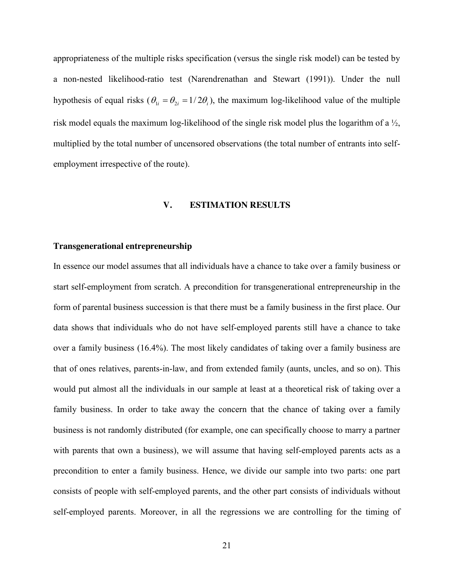appropriateness of the multiple risks specification (versus the single risk model) can be tested by a non-nested likelihood-ratio test (Narendrenathan and Stewart (1991)). Under the null hypothesis of equal risks ( $\theta_{1i} = \theta_{2i} = 1/2\theta_i$ ), the maximum log-likelihood value of the multiple risk model equals the maximum log-likelihood of the single risk model plus the logarithm of a ½, multiplied by the total number of uncensored observations (the total number of entrants into selfemployment irrespective of the route).

#### **V. ESTIMATION RESULTS**

#### **Transgenerational entrepreneurship**

In essence our model assumes that all individuals have a chance to take over a family business or start self-employment from scratch. A precondition for transgenerational entrepreneurship in the form of parental business succession is that there must be a family business in the first place. Our data shows that individuals who do not have self-employed parents still have a chance to take over a family business (16.4%). The most likely candidates of taking over a family business are that of ones relatives, parents-in-law, and from extended family (aunts, uncles, and so on). This would put almost all the individuals in our sample at least at a theoretical risk of taking over a family business. In order to take away the concern that the chance of taking over a family business is not randomly distributed (for example, one can specifically choose to marry a partner with parents that own a business), we will assume that having self-employed parents acts as a precondition to enter a family business. Hence, we divide our sample into two parts: one part consists of people with self-employed parents, and the other part consists of individuals without self-employed parents. Moreover, in all the regressions we are controlling for the timing of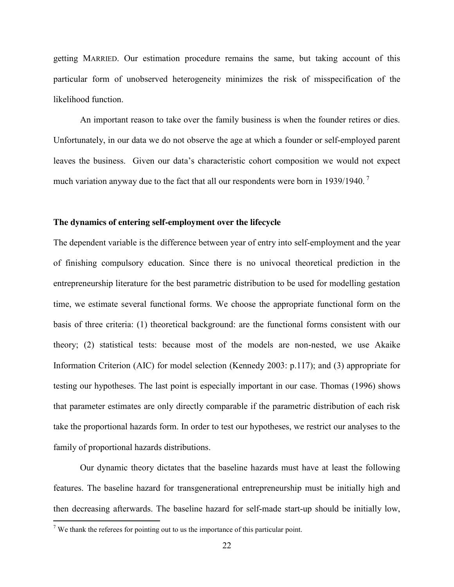getting MARRIED. Our estimation procedure remains the same, but taking account of this particular form of unobserved heterogeneity minimizes the risk of misspecification of the likelihood function.

An important reason to take over the family business is when the founder retires or dies. Unfortunately, in our data we do not observe the age at which a founder or self-employed parent leaves the business. Given our data's characteristic cohort composition we would not expect much variation anyway due to the fact that all our respondents were born in 1939/1940.<sup>7</sup>

#### **The dynamics of entering self-employment over the lifecycle**

The dependent variable is the difference between year of entry into self-employment and the year of finishing compulsory education. Since there is no univocal theoretical prediction in the entrepreneurship literature for the best parametric distribution to be used for modelling gestation time, we estimate several functional forms. We choose the appropriate functional form on the basis of three criteria: (1) theoretical background: are the functional forms consistent with our theory; (2) statistical tests: because most of the models are non-nested, we use Akaike Information Criterion (AIC) for model selection (Kennedy 2003: p.117); and (3) appropriate for testing our hypotheses. The last point is especially important in our case. Thomas (1996) shows that parameter estimates are only directly comparable if the parametric distribution of each risk take the proportional hazards form. In order to test our hypotheses, we restrict our analyses to the family of proportional hazards distributions.

Our dynamic theory dictates that the baseline hazards must have at least the following features. The baseline hazard for transgenerational entrepreneurship must be initially high and then decreasing afterwards. The baseline hazard for self-made start-up should be initially low,

 $<sup>7</sup>$  We thank the referees for pointing out to us the importance of this particular point.</sup>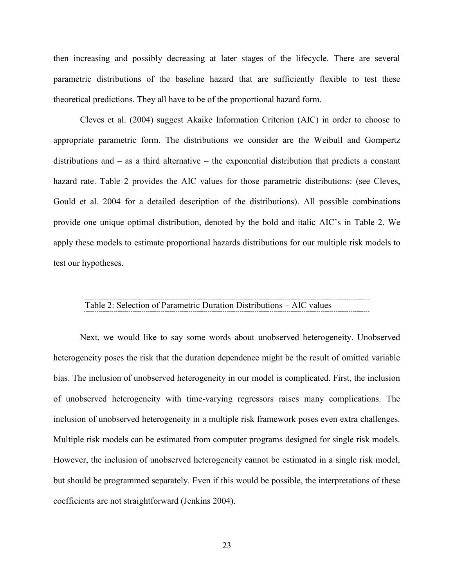then increasing and possibly decreasing at later stages of the lifecycle. There are several parametric distributions of the baseline hazard that are sufficiently flexible to test these theoretical predictions. They all have to be of the proportional hazard form.

Cleves et al. (2004) suggest Akaike Information Criterion (AIC) in order to choose to appropriate parametric form. The distributions we consider are the Weibull and Gompertz distributions and – as a third alternative – the exponential distribution that predicts a constant hazard rate. Table 2 provides the AIC values for those parametric distributions: (see Cleves, Gould et al. 2004 for a detailed description of the distributions). All possible combinations provide one unique optimal distribution, denoted by the bold and italic AIC's in Table 2. We apply these models to estimate proportional hazards distributions for our multiple risk models to test our hypotheses.

#### Table 2: Selection of Parametric Duration Distributions – AIC values

Next, we would like to say some words about unobserved heterogeneity. Unobserved heterogeneity poses the risk that the duration dependence might be the result of omitted variable bias. The inclusion of unobserved heterogeneity in our model is complicated. First, the inclusion of unobserved heterogeneity with time-varying regressors raises many complications. The inclusion of unobserved heterogeneity in a multiple risk framework poses even extra challenges. Multiple risk models can be estimated from computer programs designed for single risk models. However, the inclusion of unobserved heterogeneity cannot be estimated in a single risk model, but should be programmed separately. Even if this would be possible, the interpretations of these coefficients are not straightforward (Jenkins 2004).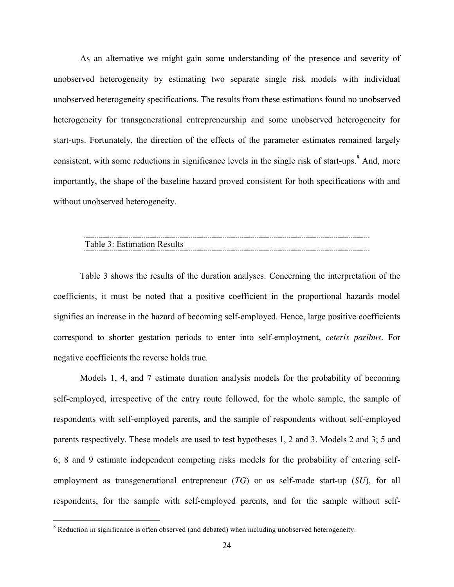As an alternative we might gain some understanding of the presence and severity of unobserved heterogeneity by estimating two separate single risk models with individual unobserved heterogeneity specifications. The results from these estimations found no unobserved heterogeneity for transgenerational entrepreneurship and some unobserved heterogeneity for start-ups. Fortunately, the direction of the effects of the parameter estimates remained largely consistent, with some reductions in significance levels in the single risk of start-ups.<sup>8</sup> And, more importantly, the shape of the baseline hazard proved consistent for both specifications with and without unobserved heterogeneity.

# Table 3: Estimation Results

Table 3 shows the results of the duration analyses. Concerning the interpretation of the coefficients, it must be noted that a positive coefficient in the proportional hazards model signifies an increase in the hazard of becoming self-employed. Hence, large positive coefficients correspond to shorter gestation periods to enter into self-employment, *ceteris paribus*. For negative coefficients the reverse holds true.

Models 1, 4, and 7 estimate duration analysis models for the probability of becoming self-employed, irrespective of the entry route followed, for the whole sample, the sample of respondents with self-employed parents, and the sample of respondents without self-employed parents respectively. These models are used to test hypotheses 1, 2 and 3. Models 2 and 3; 5 and 6; 8 and 9 estimate independent competing risks models for the probability of entering selfemployment as transgenerational entrepreneur (*TG*) or as self-made start-up (*SU*), for all respondents, for the sample with self-employed parents, and for the sample without self-

<sup>&</sup>lt;sup>8</sup> Reduction in significance is often observed (and debated) when including unobserved heterogeneity.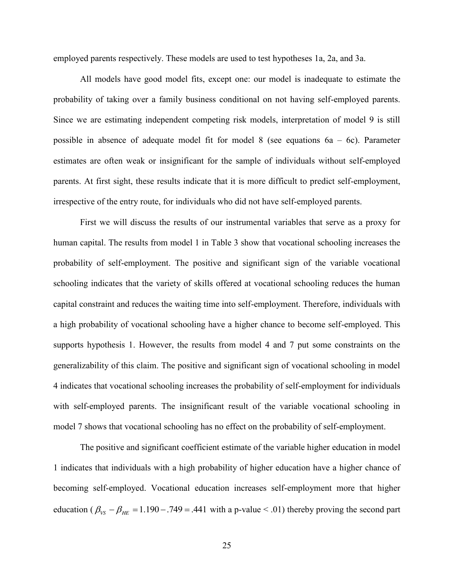employed parents respectively. These models are used to test hypotheses 1a, 2a, and 3a.

All models have good model fits, except one: our model is inadequate to estimate the probability of taking over a family business conditional on not having self-employed parents. Since we are estimating independent competing risk models, interpretation of model 9 is still possible in absence of adequate model fit for model 8 (see equations  $6a - 6c$ ). Parameter estimates are often weak or insignificant for the sample of individuals without self-employed parents. At first sight, these results indicate that it is more difficult to predict self-employment, irrespective of the entry route, for individuals who did not have self-employed parents.

First we will discuss the results of our instrumental variables that serve as a proxy for human capital. The results from model 1 in Table 3 show that vocational schooling increases the probability of self-employment. The positive and significant sign of the variable vocational schooling indicates that the variety of skills offered at vocational schooling reduces the human capital constraint and reduces the waiting time into self-employment. Therefore, individuals with a high probability of vocational schooling have a higher chance to become self-employed. This supports hypothesis 1. However, the results from model 4 and 7 put some constraints on the generalizability of this claim. The positive and significant sign of vocational schooling in model 4 indicates that vocational schooling increases the probability of self-employment for individuals with self-employed parents. The insignificant result of the variable vocational schooling in model 7 shows that vocational schooling has no effect on the probability of self-employment.

The positive and significant coefficient estimate of the variable higher education in model 1 indicates that individuals with a high probability of higher education have a higher chance of becoming self-employed. Vocational education increases self-employment more that higher education ( $\beta_{VS} - \beta_{HE} = 1.190 - .749 = .441$  with a p-value < .01) thereby proving the second part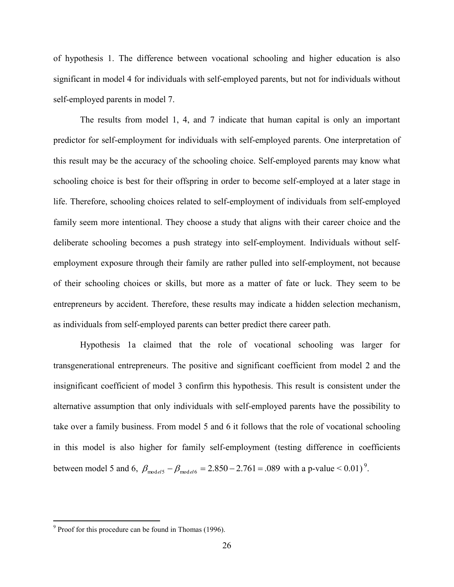of hypothesis 1. The difference between vocational schooling and higher education is also significant in model 4 for individuals with self-employed parents, but not for individuals without self-employed parents in model 7.

The results from model 1, 4, and 7 indicate that human capital is only an important predictor for self-employment for individuals with self-employed parents. One interpretation of this result may be the accuracy of the schooling choice. Self-employed parents may know what schooling choice is best for their offspring in order to become self-employed at a later stage in life. Therefore, schooling choices related to self-employment of individuals from self-employed family seem more intentional. They choose a study that aligns with their career choice and the deliberate schooling becomes a push strategy into self-employment. Individuals without selfemployment exposure through their family are rather pulled into self-employment, not because of their schooling choices or skills, but more as a matter of fate or luck. They seem to be entrepreneurs by accident. Therefore, these results may indicate a hidden selection mechanism, as individuals from self-employed parents can better predict there career path.

Hypothesis 1a claimed that the role of vocational schooling was larger for transgenerational entrepreneurs. The positive and significant coefficient from model 2 and the insignificant coefficient of model 3 confirm this hypothesis. This result is consistent under the alternative assumption that only individuals with self-employed parents have the possibility to take over a family business. From model 5 and 6 it follows that the role of vocational schooling in this model is also higher for family self-employment (testing difference in coefficients between model 5 and 6,  $\beta_{\text{model5}} - \beta_{\text{model6}} = 2.850 - 2.761 = .089$  with a p-value < 0.01)<sup>9</sup>.

 <sup>9</sup> Proof for this procedure can be found in Thomas (1996).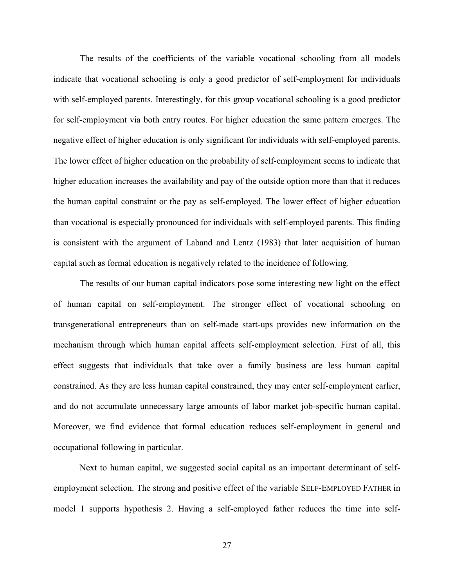The results of the coefficients of the variable vocational schooling from all models indicate that vocational schooling is only a good predictor of self-employment for individuals with self-employed parents. Interestingly, for this group vocational schooling is a good predictor for self-employment via both entry routes. For higher education the same pattern emerges. The negative effect of higher education is only significant for individuals with self-employed parents. The lower effect of higher education on the probability of self-employment seems to indicate that higher education increases the availability and pay of the outside option more than that it reduces the human capital constraint or the pay as self-employed. The lower effect of higher education than vocational is especially pronounced for individuals with self-employed parents. This finding is consistent with the argument of Laband and Lentz (1983) that later acquisition of human capital such as formal education is negatively related to the incidence of following.

The results of our human capital indicators pose some interesting new light on the effect of human capital on self-employment. The stronger effect of vocational schooling on transgenerational entrepreneurs than on self-made start-ups provides new information on the mechanism through which human capital affects self-employment selection. First of all, this effect suggests that individuals that take over a family business are less human capital constrained. As they are less human capital constrained, they may enter self-employment earlier, and do not accumulate unnecessary large amounts of labor market job-specific human capital. Moreover, we find evidence that formal education reduces self-employment in general and occupational following in particular.

Next to human capital, we suggested social capital as an important determinant of selfemployment selection. The strong and positive effect of the variable SELF-EMPLOYED FATHER in model 1 supports hypothesis 2. Having a self-employed father reduces the time into self-

27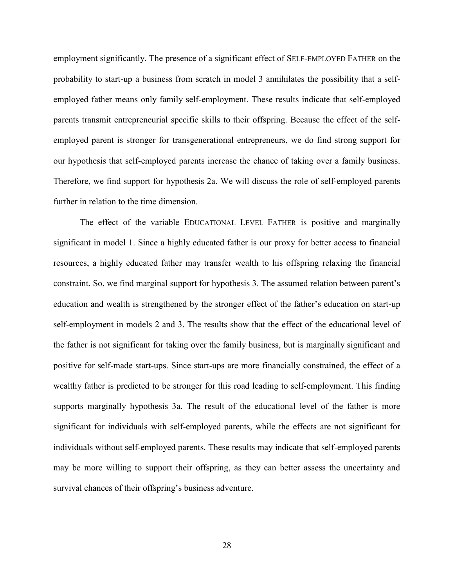employment significantly. The presence of a significant effect of SELF-EMPLOYED FATHER on the probability to start-up a business from scratch in model 3 annihilates the possibility that a selfemployed father means only family self-employment. These results indicate that self-employed parents transmit entrepreneurial specific skills to their offspring. Because the effect of the selfemployed parent is stronger for transgenerational entrepreneurs, we do find strong support for our hypothesis that self-employed parents increase the chance of taking over a family business. Therefore, we find support for hypothesis 2a. We will discuss the role of self-employed parents further in relation to the time dimension.

The effect of the variable EDUCATIONAL LEVEL FATHER is positive and marginally significant in model 1. Since a highly educated father is our proxy for better access to financial resources, a highly educated father may transfer wealth to his offspring relaxing the financial constraint. So, we find marginal support for hypothesis 3. The assumed relation between parent's education and wealth is strengthened by the stronger effect of the father's education on start-up self-employment in models 2 and 3. The results show that the effect of the educational level of the father is not significant for taking over the family business, but is marginally significant and positive for self-made start-ups. Since start-ups are more financially constrained, the effect of a wealthy father is predicted to be stronger for this road leading to self-employment. This finding supports marginally hypothesis 3a. The result of the educational level of the father is more significant for individuals with self-employed parents, while the effects are not significant for individuals without self-employed parents. These results may indicate that self-employed parents may be more willing to support their offspring, as they can better assess the uncertainty and survival chances of their offspring's business adventure.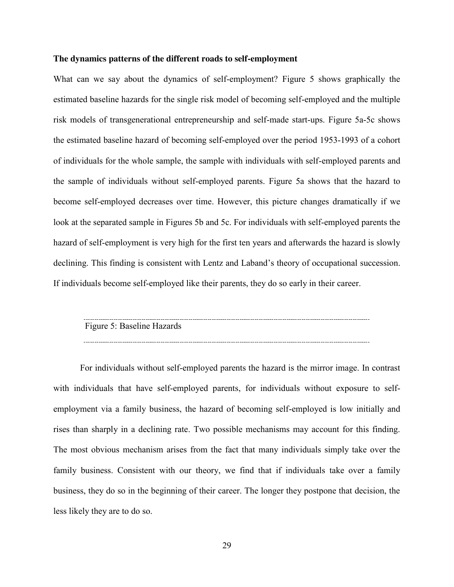#### **The dynamics patterns of the different roads to self-employment**

What can we say about the dynamics of self-employment? Figure 5 shows graphically the estimated baseline hazards for the single risk model of becoming self-employed and the multiple risk models of transgenerational entrepreneurship and self-made start-ups. Figure 5a-5c shows the estimated baseline hazard of becoming self-employed over the period 1953-1993 of a cohort of individuals for the whole sample, the sample with individuals with self-employed parents and the sample of individuals without self-employed parents. Figure 5a shows that the hazard to become self-employed decreases over time. However, this picture changes dramatically if we look at the separated sample in Figures 5b and 5c. For individuals with self-employed parents the hazard of self-employment is very high for the first ten years and afterwards the hazard is slowly declining. This finding is consistent with Lentz and Laband's theory of occupational succession. If individuals become self-employed like their parents, they do so early in their career.

| Figure 5: Baseline Hazards |  |
|----------------------------|--|

For individuals without self-employed parents the hazard is the mirror image. In contrast with individuals that have self-employed parents, for individuals without exposure to selfemployment via a family business, the hazard of becoming self-employed is low initially and rises than sharply in a declining rate. Two possible mechanisms may account for this finding. The most obvious mechanism arises from the fact that many individuals simply take over the family business. Consistent with our theory, we find that if individuals take over a family business, they do so in the beginning of their career. The longer they postpone that decision, the less likely they are to do so.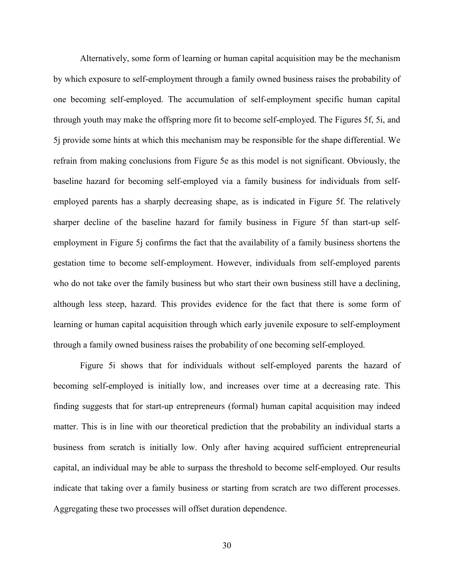Alternatively, some form of learning or human capital acquisition may be the mechanism by which exposure to self-employment through a family owned business raises the probability of one becoming self-employed. The accumulation of self-employment specific human capital through youth may make the offspring more fit to become self-employed. The Figures 5f, 5i, and 5j provide some hints at which this mechanism may be responsible for the shape differential. We refrain from making conclusions from Figure 5e as this model is not significant. Obviously, the baseline hazard for becoming self-employed via a family business for individuals from selfemployed parents has a sharply decreasing shape, as is indicated in Figure 5f. The relatively sharper decline of the baseline hazard for family business in Figure 5f than start-up selfemployment in Figure 5j confirms the fact that the availability of a family business shortens the gestation time to become self-employment. However, individuals from self-employed parents who do not take over the family business but who start their own business still have a declining, although less steep, hazard. This provides evidence for the fact that there is some form of learning or human capital acquisition through which early juvenile exposure to self-employment through a family owned business raises the probability of one becoming self-employed.

Figure 5i shows that for individuals without self-employed parents the hazard of becoming self-employed is initially low, and increases over time at a decreasing rate. This finding suggests that for start-up entrepreneurs (formal) human capital acquisition may indeed matter. This is in line with our theoretical prediction that the probability an individual starts a business from scratch is initially low. Only after having acquired sufficient entrepreneurial capital, an individual may be able to surpass the threshold to become self-employed. Our results indicate that taking over a family business or starting from scratch are two different processes. Aggregating these two processes will offset duration dependence.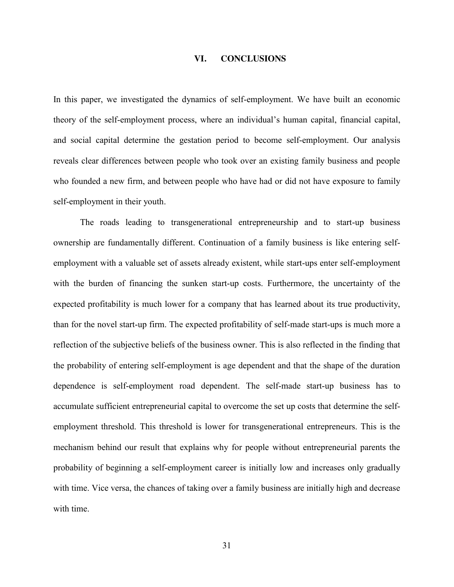#### **VI. CONCLUSIONS**

In this paper, we investigated the dynamics of self-employment. We have built an economic theory of the self-employment process, where an individual's human capital, financial capital, and social capital determine the gestation period to become self-employment. Our analysis reveals clear differences between people who took over an existing family business and people who founded a new firm, and between people who have had or did not have exposure to family self-employment in their youth.

The roads leading to transgenerational entrepreneurship and to start-up business ownership are fundamentally different. Continuation of a family business is like entering selfemployment with a valuable set of assets already existent, while start-ups enter self-employment with the burden of financing the sunken start-up costs. Furthermore, the uncertainty of the expected profitability is much lower for a company that has learned about its true productivity, than for the novel start-up firm. The expected profitability of self-made start-ups is much more a reflection of the subjective beliefs of the business owner. This is also reflected in the finding that the probability of entering self-employment is age dependent and that the shape of the duration dependence is self-employment road dependent. The self-made start-up business has to accumulate sufficient entrepreneurial capital to overcome the set up costs that determine the selfemployment threshold. This threshold is lower for transgenerational entrepreneurs. This is the mechanism behind our result that explains why for people without entrepreneurial parents the probability of beginning a self-employment career is initially low and increases only gradually with time. Vice versa, the chances of taking over a family business are initially high and decrease with time.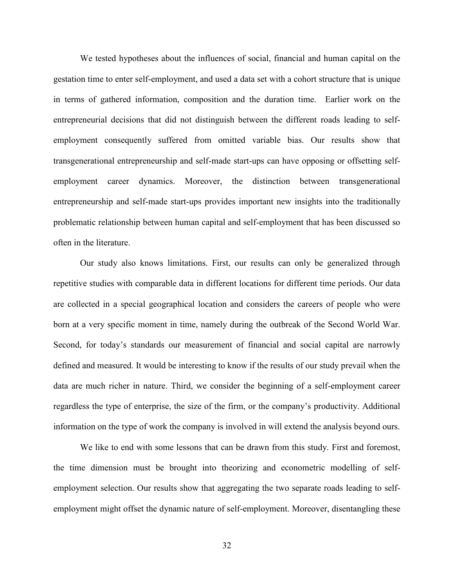We tested hypotheses about the influences of social, financial and human capital on the gestation time to enter self-employment, and used a data set with a cohort structure that is unique in terms of gathered information, composition and the duration time. Earlier work on the entrepreneurial decisions that did not distinguish between the different roads leading to selfemployment consequently suffered from omitted variable bias. Our results show that transgenerational entrepreneurship and self-made start-ups can have opposing or offsetting selfemployment career dynamics. Moreover, the distinction between transgenerational entrepreneurship and self-made start-ups provides important new insights into the traditionally problematic relationship between human capital and self-employment that has been discussed so often in the literature.

Our study also knows limitations. First, our results can only be generalized through repetitive studies with comparable data in different locations for different time periods. Our data are collected in a special geographical location and considers the careers of people who were born at a very specific moment in time, namely during the outbreak of the Second World War. Second, for today's standards our measurement of financial and social capital are narrowly defined and measured. It would be interesting to know if the results of our study prevail when the data are much richer in nature. Third, we consider the beginning of a self-employment career regardless the type of enterprise, the size of the firm, or the company's productivity. Additional information on the type of work the company is involved in will extend the analysis beyond ours.

We like to end with some lessons that can be drawn from this study. First and foremost, the time dimension must be brought into theorizing and econometric modelling of selfemployment selection. Our results show that aggregating the two separate roads leading to selfemployment might offset the dynamic nature of self-employment. Moreover, disentangling these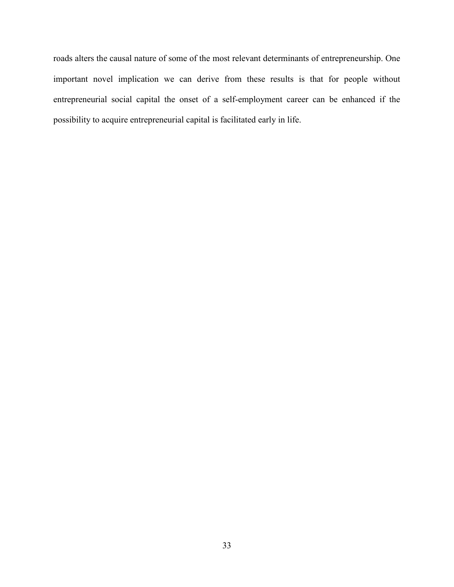roads alters the causal nature of some of the most relevant determinants of entrepreneurship. One important novel implication we can derive from these results is that for people without entrepreneurial social capital the onset of a self-employment career can be enhanced if the possibility to acquire entrepreneurial capital is facilitated early in life.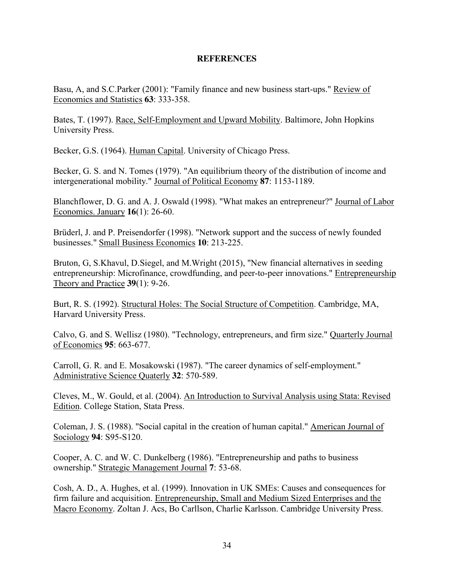#### **REFERENCES**

Basu, A, and S.C.Parker (2001): "Family finance and new business start-ups." Review of Economics and Statistics **63**: 333-358.

Bates, T. (1997). Race, Self-Employment and Upward Mobility. Baltimore, John Hopkins University Press.

Becker, G.S. (1964). Human Capital. University of Chicago Press.

Becker, G. S. and N. Tomes (1979). "An equilibrium theory of the distribution of income and intergenerational mobility." Journal of Political Economy **87**: 1153-1189.

Blanchflower, D. G. and A. J. Oswald (1998). "What makes an entrepreneur?" Journal of Labor Economics. January **16**(1): 26-60.

Brüderl, J. and P. Preisendorfer (1998). "Network support and the success of newly founded businesses." Small Business Economics **10**: 213-225.

Bruton, G, S.Khavul, D.Siegel, and M.Wright (2015), "New financial alternatives in seeding entrepreneurship: Microfinance, crowdfunding, and peer-to-peer innovations." Entrepreneurship Theory and Practice **39**(1): 9-26.

Burt, R. S. (1992). Structural Holes: The Social Structure of Competition. Cambridge, MA, Harvard University Press.

Calvo, G. and S. Wellisz (1980). "Technology, entrepreneurs, and firm size." Quarterly Journal of Economics **95**: 663-677.

Carroll, G. R. and E. Mosakowski (1987). "The career dynamics of self-employment." Administrative Science Quaterly **32**: 570-589.

Cleves, M., W. Gould, et al. (2004). An Introduction to Survival Analysis using Stata: Revised Edition. College Station, Stata Press.

Coleman, J. S. (1988). "Social capital in the creation of human capital." American Journal of Sociology **94**: S95-S120.

Cooper, A. C. and W. C. Dunkelberg (1986). "Entrepreneurship and paths to business ownership." Strategic Management Journal **7**: 53-68.

Cosh, A. D., A. Hughes, et al. (1999). Innovation in UK SMEs: Causes and consequences for firm failure and acquisition. Entrepreneurship, Small and Medium Sized Enterprises and the Macro Economy. Zoltan J. Acs, Bo Carllson, Charlie Karlsson. Cambridge University Press.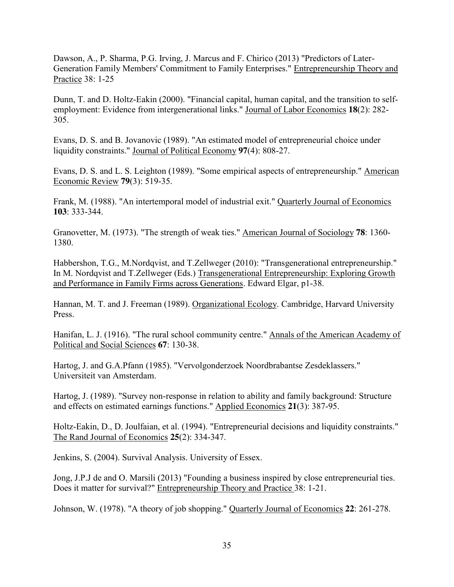Dawson, A., P. Sharma, P.G. Irving, J. Marcus and F. Chirico (2013) "Predictors of Later-Generation Family Members' Commitment to Family Enterprises." Entrepreneurship Theory and Practice 38: 1-25

Dunn, T. and D. Holtz-Eakin (2000). "Financial capital, human capital, and the transition to selfemployment: Evidence from intergenerational links." Journal of Labor Economics **18**(2): 282- 305.

Evans, D. S. and B. Jovanovic (1989). "An estimated model of entrepreneurial choice under liquidity constraints." Journal of Political Economy **97**(4): 808-27.

Evans, D. S. and L. S. Leighton (1989). "Some empirical aspects of entrepreneurship." American Economic Review **79**(3): 519-35.

Frank, M. (1988). "An intertemporal model of industrial exit." Quarterly Journal of Economics **103**: 333-344.

Granovetter, M. (1973). "The strength of weak ties." American Journal of Sociology **78**: 1360- 1380.

Habbershon, T.G., M.Nordqvist, and T.Zellweger (2010): "Transgenerational entrepreneurship." In M. Nordqvist and T.Zellweger (Eds.) Transgenerational Entrepreneurship: Exploring Growth and Performance in Family Firms across Generations. Edward Elgar, p1-38.

Hannan, M. T. and J. Freeman (1989). Organizational Ecology. Cambridge, Harvard University Press.

Hanifan, L. J. (1916). "The rural school community centre." Annals of the American Academy of Political and Social Sciences **67**: 130-38.

Hartog, J. and G.A.Pfann (1985). "Vervolgonderzoek Noordbrabantse Zesdeklassers." Universiteit van Amsterdam.

Hartog, J. (1989). "Survey non-response in relation to ability and family background: Structure and effects on estimated earnings functions." Applied Economics **21**(3): 387-95.

Holtz-Eakin, D., D. Joulfaian, et al. (1994). "Entrepreneurial decisions and liquidity constraints." The Rand Journal of Economics **25**(2): 334-347.

Jenkins, S. (2004). Survival Analysis. University of Essex.

Jong, J.P.J de and O. Marsili (2013) "Founding a business inspired by close entrepreneurial ties. Does it matter for survival?" Entrepreneurship Theory and Practice 38: 1-21.

Johnson, W. (1978). "A theory of job shopping." Quarterly Journal of Economics **22**: 261-278.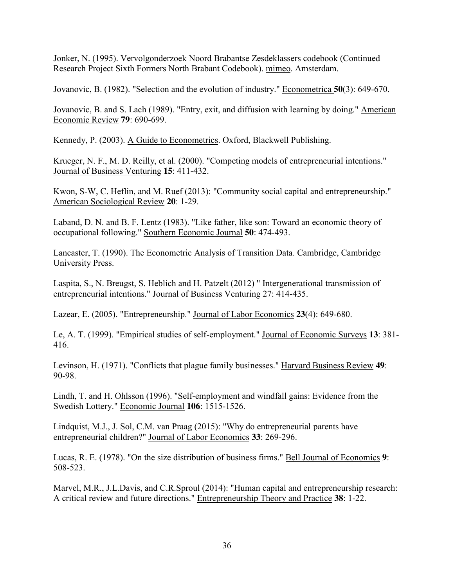Jonker, N. (1995). Vervolgonderzoek Noord Brabantse Zesdeklassers codebook (Continued Research Project Sixth Formers North Brabant Codebook). mimeo. Amsterdam.

Jovanovic, B. (1982). "Selection and the evolution of industry." Econometrica **50**(3): 649-670.

Jovanovic, B. and S. Lach (1989). "Entry, exit, and diffusion with learning by doing." American Economic Review **79**: 690-699.

Kennedy, P. (2003). A Guide to Econometrics. Oxford, Blackwell Publishing.

Krueger, N. F., M. D. Reilly, et al. (2000). "Competing models of entrepreneurial intentions." Journal of Business Venturing **15**: 411-432.

Kwon, S-W, C. Heflin, and M. Ruef (2013): "Community social capital and entrepreneurship." American Sociological Review **20**: 1-29.

Laband, D. N. and B. F. Lentz (1983). "Like father, like son: Toward an economic theory of occupational following." Southern Economic Journal **50**: 474-493.

Lancaster, T. (1990). The Econometric Analysis of Transition Data. Cambridge, Cambridge University Press.

Laspita, S., N. Breugst, S. Heblich and H. Patzelt (2012) " Intergenerational transmission of entrepreneurial intentions." Journal of Business Venturing 27: 414-435.

Lazear, E. (2005). "Entrepreneurship." Journal of Labor Economics **23**(4): 649-680.

Le, A. T. (1999). "Empirical studies of self-employment." Journal of Economic Surveys **13**: 381- 416.

Levinson, H. (1971). "Conflicts that plague family businesses." Harvard Business Review **49**: 90-98.

Lindh, T. and H. Ohlsson (1996). "Self-employment and windfall gains: Evidence from the Swedish Lottery." Economic Journal **106**: 1515-1526.

Lindquist, M.J., J. Sol, C.M. van Praag (2015): "Why do entrepreneurial parents have entrepreneurial children?" Journal of Labor Economics **33**: 269-296.

Lucas, R. E. (1978). "On the size distribution of business firms." Bell Journal of Economics **9**: 508-523.

Marvel, M.R., J.L.Davis, and C.R.Sproul (2014): "Human capital and entrepreneurship research: A critical review and future directions." Entrepreneurship Theory and Practice **38**: 1-22.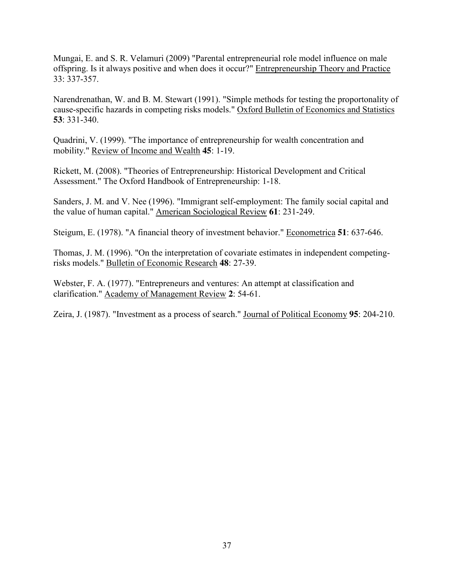Mungai, E. and S. R. Velamuri (2009) "Parental entrepreneurial role model influence on male offspring. Is it always positive and when does it occur?" Entrepreneurship Theory and Practice 33: 337-357.

Narendrenathan, W. and B. M. Stewart (1991). "Simple methods for testing the proportonality of cause-specific hazards in competing risks models." Oxford Bulletin of Economics and Statistics **53**: 331-340.

Quadrini, V. (1999). "The importance of entrepreneurship for wealth concentration and mobility." Review of Income and Wealth **45**: 1-19.

Rickett, M. (2008). "Theories of Entrepreneurship: Historical Development and Critical Assessment." The Oxford Handbook of Entrepreneurship: 1-18.

Sanders, J. M. and V. Nee (1996). "Immigrant self-employment: The family social capital and the value of human capital." American Sociological Review **61**: 231-249.

Steigum, E. (1978). "A financial theory of investment behavior." Econometrica **51**: 637-646.

Thomas, J. M. (1996). "On the interpretation of covariate estimates in independent competingrisks models." Bulletin of Economic Research **48**: 27-39.

Webster, F. A. (1977). "Entrepreneurs and ventures: An attempt at classification and clarification." Academy of Management Review **2**: 54-61.

Zeira, J. (1987). "Investment as a process of search." Journal of Political Economy **95**: 204-210.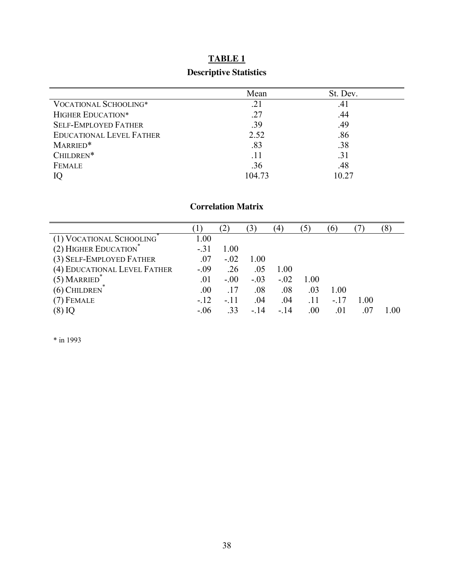# **TABLE 1 Descriptive Statistics**

|                                 | Mean   | St. Dev. |
|---------------------------------|--------|----------|
| <b>VOCATIONAL SCHOOLING*</b>    | .21    | .41      |
| <b>HIGHER EDUCATION*</b>        | .27    | .44      |
| <b>SELF-EMPLOYED FATHER</b>     | .39    | .49      |
| <b>EDUCATIONAL LEVEL FATHER</b> | 2.52   | .86      |
| MARRIED*                        | .83    | .38      |
| CHILDREN*                       | .11    | .31      |
| <b>FEMALE</b>                   | .36    | .48      |
|                                 | 104.73 | 10.27    |

#### **Correlation Matrix**

|                              |        | $^{\prime}2$ |        | 4      |      | $\sigma$ |      | $\delta$ |
|------------------------------|--------|--------------|--------|--------|------|----------|------|----------|
| (1) VOCATIONAL SCHOOLING     | 1.00   |              |        |        |      |          |      |          |
| (2) HIGHER EDUCATION         | $-31$  | 1.00         |        |        |      |          |      |          |
| (3) SELF-EMPLOYED FATHER     | .07    | $-.02$       | 1.00   |        |      |          |      |          |
| (4) EDUCATIONAL LEVEL FATHER | $-.09$ | .26          | .05    | 1.00   |      |          |      |          |
| $(5)$ MARRIED                | .01    | $-0.00$      | $-.03$ | $-.02$ | 1.00 |          |      |          |
| $(6)$ CHILDREN               | .00.   | .17          | .08    | .08    | .03  | 1.00     |      |          |
| $(7)$ FEMALE                 | $-.12$ | $-.11$       | .04    | .04    | .11  | - 17     | 1.00 |          |
| $(8)$ IQ                     | $-.06$ | .33          | $-.14$ | $-.14$ | .00  | .01      | .O   | L 00     |

\* in 1993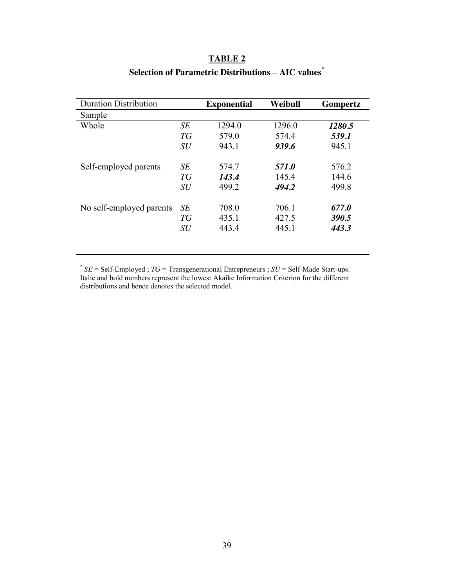## **TABLE 2**

|    | <b>Exponential</b> | Weibull | Gompertz |
|----|--------------------|---------|----------|
|    |                    |         |          |
| SE | 1294.0             | 1296.0  | 1280.5   |
| TG | 579.0              | 574.4   | 539.1    |
| SU | 943.1              | 939.6   | 945.1    |
| SE | 574.7              | 571.0   | 576.2    |
| TG | 143.4              | 145.4   | 144.6    |
| SU | 499.2              | 494.2   | 499.8    |
| SE | 708.0              | 706.1   | 677.0    |
| TG | 435.1              | 427.5   | 390.5    |
| SU | 443.4              | 445.1   | 443.3    |
|    |                    |         |          |

# **Selection of Parametric Distributions – AIC values\***

\* *SE* = Self-Employed ; *TG* = Transgenerational Entrepreneurs ; *SU* = Self-Made Start-ups. Italic and bold numbers represent the lowest Akaike Information Criterion for the different distributions and hence denotes the selected model.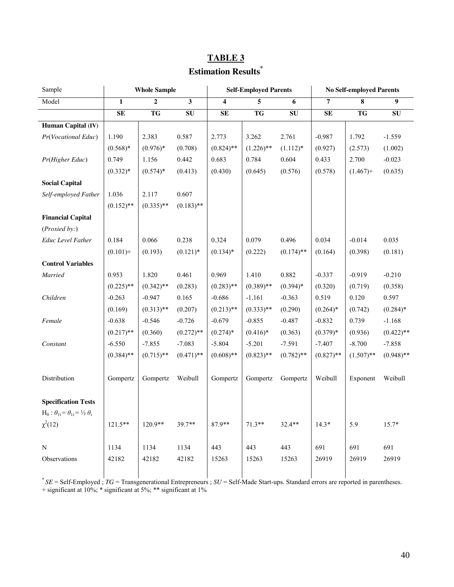# **TABLE 3 Estimation Results\***

| Sample                                                  | <b>Whole Sample</b> |                |                         |                         | <b>Self-Employed Parents</b> |              | <b>No Self-employed Parents</b> |              |                |  |
|---------------------------------------------------------|---------------------|----------------|-------------------------|-------------------------|------------------------------|--------------|---------------------------------|--------------|----------------|--|
| Model                                                   | $\mathbf{1}$        | $\overline{2}$ | $\overline{\mathbf{3}}$ | $\overline{\mathbf{4}}$ | 5                            | 6            | $\overline{7}$                  | 8            | $\overline{9}$ |  |
|                                                         | $\mathbf{SE}$       | TG             | ${\bf SU}$              | $\mathbf{SE}$           | TG                           | SU           | ${\bf SE}$                      | TG           | ${\bf SU}$     |  |
| Human Capital (IV)                                      |                     |                |                         |                         |                              |              |                                 |              |                |  |
| Pr(Vocational Educ)                                     | 1.190               | 2.383          | 0.587                   | 2.773                   | 3.262                        | 2.761        | $-0.987$                        | 1.792        | $-1.559$       |  |
|                                                         | $(0.568)*$          | $(0.976)*$     | (0.708)                 | $(0.824)$ **            | $(1.226)$ **                 | $(1.112)*$   | (0.927)                         | (2.573)      | (1.002)        |  |
| Pr(Higher Educ)                                         | 0.749               | 1.156          | 0.442                   | 0.683                   | 0.784                        | 0.604        | 0.433                           | 2.700        | $-0.023$       |  |
|                                                         | $(0.332)*$          | $(0.574)*$     | (0.413)                 | (0.430)                 | (0.645)                      | (0.576)      | (0.578)                         | $(1.467)$ +  | (0.635)        |  |
| <b>Social Capital</b>                                   |                     |                |                         |                         |                              |              |                                 |              |                |  |
| Self-employed Father                                    | 1.036               | 2.117          | 0.607                   |                         |                              |              |                                 |              |                |  |
|                                                         | $(0.152)$ **        | $(0.335)$ **   | $(0.183)$ **            |                         |                              |              |                                 |              |                |  |
| <b>Financial Capital</b>                                |                     |                |                         |                         |                              |              |                                 |              |                |  |
| (Proxied by: )                                          |                     |                |                         |                         |                              |              |                                 |              |                |  |
| <b>Educ Level Father</b>                                | 0.184               | 0.066          | 0.238                   | 0.324                   | 0.079                        | 0.496        | 0.034                           | $-0.014$     | 0.035          |  |
|                                                         | $(0.101) +$         | (0.193)        | $(0.121)$ <sup>*</sup>  | $(0.134)$ *             | (0.222)                      | $(0.174)$ ** | (0.164)                         | (0.398)      | (0.181)        |  |
| <b>Control Variables</b>                                |                     |                |                         |                         |                              |              |                                 |              |                |  |
| Married                                                 | 0.953               | 1.820          | 0.461                   | 0.969                   | 1.410                        | 0.882        | $-0.337$                        | $-0.919$     | $-0.210$       |  |
|                                                         | $(0.225)$ **        | $(0.342)$ **   | (0.283)                 | $(0.283)$ **            | $(0.389)$ **                 | $(0.394)$ *  | (0.320)                         | (0.719)      | (0.358)        |  |
| Children                                                | $-0.263$            | $-0.947$       | 0.165                   | $-0.686$                | $-1.161$                     | $-0.363$     | 0.519                           | 0.120        | 0.597          |  |
|                                                         | (0.169)             | $(0.313)$ **   | (0.207)                 | $(0.213)$ **            | $(0.333)$ **                 | (0.290)      | $(0.264)$ *                     | (0.742)      | $(0.284)$ *    |  |
| Female                                                  | $-0.638$            | $-0.546$       | $-0.726$                | $-0.679$                | $-0.855$                     | $-0.487$     | $-0.832$                        | 0.739        | $-1.168$       |  |
|                                                         | $(0.217)$ **        | (0.360)        | $(0.272)$ **            | $(0.274)*$              | $(0.416)$ *                  | (0.363)      | $(0.379)*$                      | (0.936)      | $(0.422)$ **   |  |
| Constant                                                | $-6.550$            | $-7.855$       | $-7.083$                | $-5.804$                | $-5.201$                     | $-7.591$     | $-7.407$                        | $-8.700$     | $-7.858$       |  |
|                                                         | $(0.384)$ **        | $(0.715)$ **   | $(0.471)$ **            | $(0.608)$ **            | $(0.823)$ **                 | $(0.782)$ ** | $(0.827)$ **                    | $(1.507)$ ** | $(0.948)$ **   |  |
|                                                         |                     |                |                         |                         |                              |              |                                 |              |                |  |
| Distribution                                            | Gompertz            | Gompertz       | Weibull                 | Gompertz                | Gompertz                     | Gompertz     | Weibull                         | Exponent     | Weibull        |  |
|                                                         |                     |                |                         |                         |                              |              |                                 |              |                |  |
| <b>Specification Tests</b>                              |                     |                |                         |                         |                              |              |                                 |              |                |  |
| $H_0: \theta_{1i} = \theta_{1i} = \frac{1}{2} \theta_i$ |                     |                |                         |                         |                              |              |                                 |              |                |  |
| $\chi^2(12)$                                            | $121.5***$          | $120.9**$      | 39.7**                  | 87.9**                  | $71.3**$                     | $32.4**$     | $14.3*$                         | 5.9          | $15.7*$        |  |
|                                                         |                     |                |                         |                         |                              |              |                                 |              |                |  |
| $\mathbf N$                                             | 1134                | 1134           | 1134                    | 443                     | 443                          | 443          | 691                             | 691          | 691            |  |
| Observations                                            | 42182               | 42182          | 42182                   | 15263                   | 15263                        | 15263        | 26919                           | 26919        | 26919          |  |
|                                                         |                     |                |                         |                         |                              |              |                                 |              |                |  |

\* *SE* = Self-Employed ; *TG* = Transgenerational Entrepreneurs ; *SU* = Self-Made Start-ups. Standard errors are reported in parentheses. + significant at 10%; \* significant at 5%; \*\* significant at 1%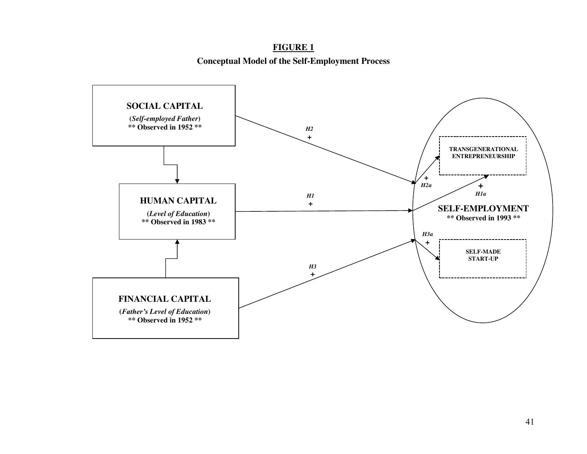#### **Conceptual Model of the Self-Employment Process**

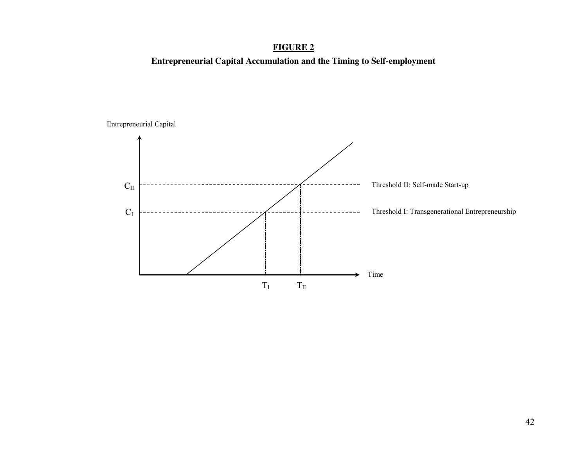**Entrepreneurial Capital Accumulation and the Timing to Self-employment**



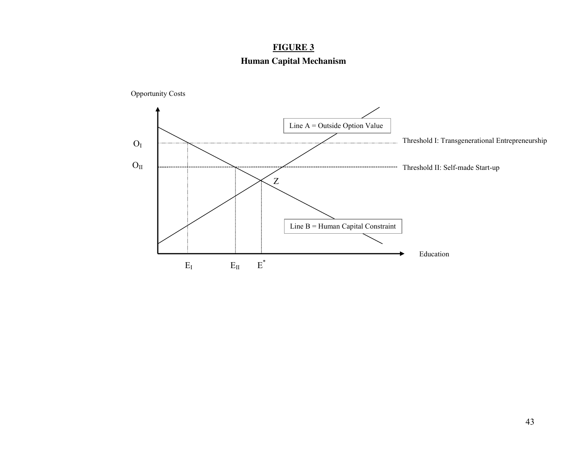### **Human Capital Mechanism**

Opportunity Costs

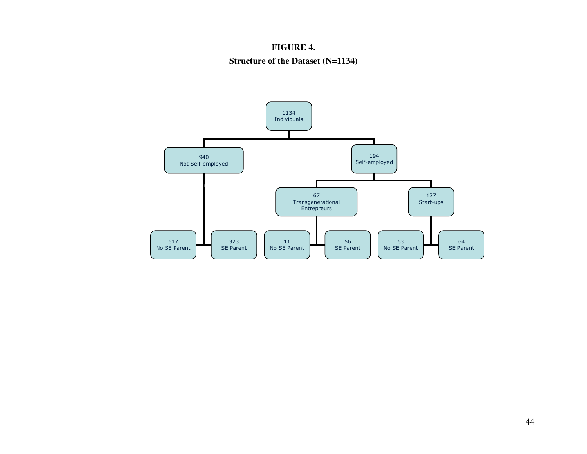#### **FIGURE 4.**

#### **Structure of the Dataset (N=1134)**